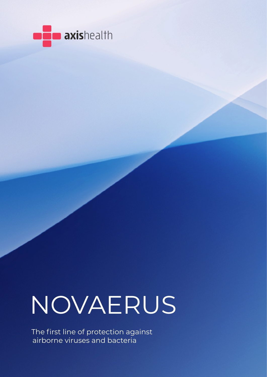

# NOVAERUS

The first line of protection against airborne viruses and bacteria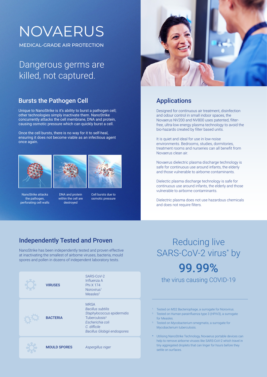## NOVAERUS

MEDICAL-GRADE AIR PROTECTION

#### Dangerous germs are killed, not captured.

#### Bursts the Pathogen Cell

Unique to NanoStrike is it's ability to burst a pathogen cell; other technologies simply inactivate them. NanoStrike concurrently attacks the cell membrane, DNA and protein, causing osmotic pressure which can quickly burst a cell.

Once the cell bursts, there is no way for it to self-heal, ensuring it does not become viable as an infectious agent once again.





NanoStrike attacks the pathogen, perforating cell walls DNA and protein within the cell are destroyed



Cell bursts due to osmotic pressure



#### Applications

Designed for continuous air treatment, disinfection and odour control in small indoor spaces, the Novaerus NV200 and NV800 uses patented, filterfree, ultra-low energy plasma technology to avoid the bio-hazards created by filter based units.

It is quiet and ideal for use in low-noise environments. Bedrooms, studies, dormitories, treatment rooms and nurseries can all benefit from Novaerus clean air.

Novaerus dielectric plasma discharge technology is safe for continuous use around infants, the elderly and those vulnerable to airborne contaminants.

Dielectic plasma discharge technology is safe for continuous use around infants, the elderly and those vulnerable to airborne contaminants.

Dielectric plasma does not use hazardous chemicals and does not require filters.

#### Independently Tested and Proven

NanoStrike has been independently tested and proven effective at inactivating the smallest of airborne viruses, bacteria, mould spores and pollen in dozens of independent laboratory tests.

| <b>VIRUSES</b>      | SARS-CoV-2<br>Influenza A<br>Phi X 174<br>Norovirus <sup>1</sup><br>Measles <sup>2</sup>                                                                               |
|---------------------|------------------------------------------------------------------------------------------------------------------------------------------------------------------------|
| <b>BACTERIA</b>     | <b>MRSA</b><br><b>Bacillus subtilis</b><br>Staphylococcus epidermidis<br>Tuberculosis <sup>3</sup><br>Escherichia coli<br>C. difficile<br>Bacillus Globigii endospores |
| <b>MOULD SPORES</b> | Aspergillus niger                                                                                                                                                      |

## Reducing live SARS-CoV-2 virus\* by 99.99%

the virus causing COVID-19

1. Tested on MS2 Bacteriophage, a surrogate for Norovirus.

- <sup>2</sup> Tested on Human parainfluenza type 3 (HPIV3), a surrogate for Measles.
- 3. Tested on Mycobacterium smegmatis, a surrogate for Mycobacterium tuberculosis.

\* Utilising NanoStrike Technology, Novaerus portable devices can help to remove airborne viruses like SARS-CoV-2 which travel in tiny aggregated droplets that can linger for hours before they settle on surfaces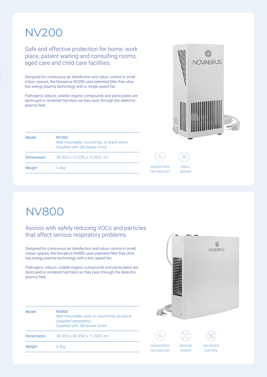### NV200

Safe and effective protection for home, work place, patient waiting and consulting rooms, aged care and child care facilities.

Designed for continuous air disinfection and odour control in small indoor spaces, the Novaerus NV200 uses patented filter-free ultralow energy plasma technology with a single speed fan.

Pathogens, odours, volatile organic compounds and particulates are destroyed or rendered harmless as they pass through the dielectric plasma field.

| Model             | NV200<br>Wall mountable, countertop, or stand-alone.<br>Supplied with 2M power chord |
|-------------------|--------------------------------------------------------------------------------------|
| <b>Dimensions</b> | 28.3(H) x 13.2(W) x 10.8(D) cm                                                       |
| Weight            | 3.4 <sub>kq</sub>                                                                    |
|                   |                                                                                      |



**NANOSTRIKE TECHNOLOGY** 

SMALL ROOMS

## NV800

#### Assists with safely reducing VOCs and particles that affect serious respiratory problems.

Designed for continuous air disinfection and odour control in small indoor spaces, the Novaerus NV800 uses patented filter-free ultralow energy plasma technology with a two speed fan.

Pathogens, odours, volatile organic compounds and particulates are destroyed or rendered harmless as they pass through the dielectric plasma field.

|                                 | $\sigma$                      | \$\$<br><b>NOVAERUS</b>     |  |
|---------------------------------|-------------------------------|-----------------------------|--|
|                                 |                               |                             |  |
|                                 | Ġ                             |                             |  |
| 44                              | КZ<br>Ø,                      |                             |  |
| NANOSTRIKE<br><b>TECHNOLOGY</b> | <b>MEDIUM</b><br><b>ROOMS</b> | <b>FAN SPEED</b><br>CONTROL |  |

| Model             | NV800<br>Wall mountable, desk or countertop via stand<br>(supplied separately).<br>Supplied with 2M power chord |
|-------------------|-----------------------------------------------------------------------------------------------------------------|
| <b>Dimensions</b> | $36.5(H) \times 36.5(W) \times 11.5(D)$ cm                                                                      |
| Weight            | 4.5kg                                                                                                           |